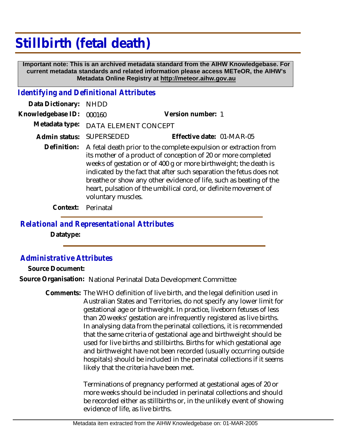## **Stillbirth (fetal death)**

 **Important note: This is an archived metadata standard from the AIHW Knowledgebase. For current metadata standards and related information please access METeOR, the AIHW's Metadata Online Registry at http://meteor.aihw.gov.au**

## *Identifying and Definitional Attributes*

| Data Dictionary:  | <b>NHDD</b>                                                                                                                                                                                                                                                                                                                                                                                                                                             |                           |
|-------------------|---------------------------------------------------------------------------------------------------------------------------------------------------------------------------------------------------------------------------------------------------------------------------------------------------------------------------------------------------------------------------------------------------------------------------------------------------------|---------------------------|
| Knowledgebase ID: | 000160                                                                                                                                                                                                                                                                                                                                                                                                                                                  | Version number: 1         |
|                   | Metadata type: DATA ELEMENT CONCEPT                                                                                                                                                                                                                                                                                                                                                                                                                     |                           |
| Admin status:     | SUPERSEDED                                                                                                                                                                                                                                                                                                                                                                                                                                              | Effective date: 01-MAR-05 |
|                   | Definition: A fetal death prior to the complete expulsion or extraction from<br>its mother of a product of conception of 20 or more completed<br>weeks of gestation or of 400 g or more birthweight; the death is<br>indicated by the fact that after such separation the fetus does not<br>breathe or show any other evidence of life, such as beating of the<br>heart, pulsation of the umbilical cord, or definite movement of<br>voluntary muscles. |                           |
|                   |                                                                                                                                                                                                                                                                                                                                                                                                                                                         |                           |

**Context:** Perinatal

*Relational and Representational Attributes*

**Datatype:**

*Administrative Attributes*

**Source Document:**

**Source Organisation:** National Perinatal Data Development Committee

Comments: The WHO definition of live birth, and the legal definition used in Australian States and Territories, do not specify any lower limit for gestational age or birthweight. In practice, liveborn fetuses of less than 20 weeks' gestation are infrequently registered as live births. In analysing data from the perinatal collections, it is recommended that the same criteria of gestational age and birthweight should be used for live births and stillbirths. Births for which gestational age and birthweight have not been recorded (usually occurring outside hospitals) should be included in the perinatal collections if it seems likely that the criteria have been met.

> Terminations of pregnancy performed at gestational ages of 20 or more weeks should be included in perinatal collections and should be recorded either as stillbirths or, in the unlikely event of showing evidence of life, as live births.